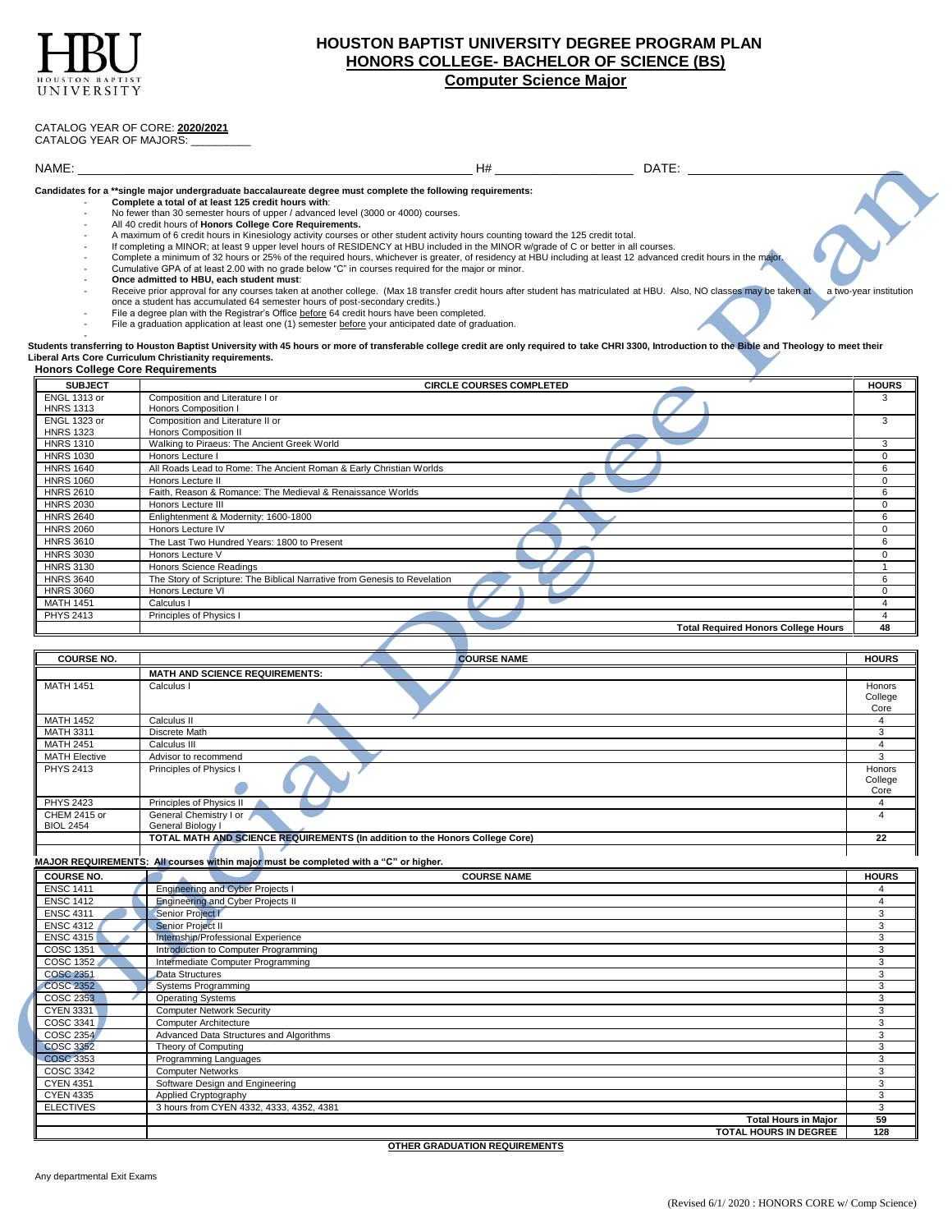

# **HOUSTON BAPTIST UNIVERSITY DEGREE PROGRAM PLAN HONORS COLLEGE- BACHELOR OF SCIENCE (BS) Computer Science Major**

## CATALOG YEAR OF CORE: **2020/2021**

CATALOG YEAR OF MAJORS:

### NAME: \_\_\_\_\_\_\_ H# \_\_\_\_\_\_\_\_\_\_\_\_\_\_\_\_\_\_\_\_ DATE:

**Candidates for a \*\*single major undergraduate baccalaureate degree must complete the following requirements:**

- **Complete a total of at least 125 credit hours with**:
- No fewer than 30 semester hours of upper / advanced level (3000 or 4000) courses. - All 40 credit hours of **Honors College Core Requirements.**
- A maximum of 6 credit hours in Kinesiology activity courses or other student activity hours counting toward the 125 credit total.
- If completing a MINOR; at least 9 upper level hours of RESIDENCY at HBU included in the MINOR w/grade of C or better in all courses.
- Complete a minimum of 32 hours or 25% of the required hours, whichever is greater, of residency at HBU including at least 12 advanced credit hours in the majo
- Cumulative GPA of at least 2.00 with no grade below "C" in courses required for the major or minor.
- **Once admitted to HBU, each student must**:
- Receive prior approval for any courses taken at another college. (Max 18 transfer credit hours after student has matriculated at HBU. Also, NO classes may be taken at a two-year institution once a student has accumulated 64 semester hours of post-secondary credits.)
- File a degree plan with the Registrar's Office before 64 credit hours have been completed.
- File a graduation application at least one (1) semester before your anticipated date of graduation.

# en<br>Students transferring to Houston Baptist University with 45 hours or more of transferable college credit are only required to take CHRI 3300, Introduction to the Bible and Theology to meet their<br>Liberal Arts Core Curric

#### **Honors College Core Requirements SUBJECT CIRCLE COURSES COMPLETED HOURS** ENGL 1313 or HNRS 1313 Composition and Literature I or Honors Composition I 3 ENGL 1323 or **HNRS 1323**<br>HNRS 1310 Composition and Literature II or Honors Composition II 3 HNRS 1310 Walking to Piraeus: The Ancient Greek World 3<br>
HNRS 1030 Honors Lecture I 0 HNRS 1030 Honors Lecture I 0 December 10 December 10 December 10 December 10 December 10 December 10 December 1 HNRS 1640 All Roads Lead to Rome: The Ancient Roman & Early Christian Worlds 6 6 All Roads All Roads Lead to Rome: The Ancient Roman & Early Christian Worlds 6 All Roads All Roads Lead to Rome: The Ancient Roman & Early Ch HNRS 1060 Honors Lecture II 0 and 20 July 2012 12:00 Honors Lecture II 0 and 20 July 2013 12:00 Honors Lecture II HNRS 2610 Faith, Reason & Romance: The Medieval & Renaissance Worlds 6 HNRS 2030 Honors Lecture III and the control of the control of the control of the control of the control of the control of the control of the control of the control of the control of the control of the control of the contr HNRS 2640 Enlightenment & Modernity: 1600-1800<br>
HNRS 2060 Honors Lecture IV 0 HNRS 2060 Honors Lecture IV 0 HNRS 3610 The Last Two Hundred Years: 1800 to Present 6<br>
HNRS 3030 Honors Lecture V HNRS 3030 Honors Lecture V 0 HNRS 3130 Honors Science Readings<br>
HNRS 3640 The Story of Scripture: The Biblical Narrative from Genesis to Revelation 6 HNRS 3640 The Story of Scripture: The Biblical Narrative from Genesis to Revelation 6<br>
HNRS 3060 Honors Lecture VI 0 HNRS 3060 Honors Lecture VI 0 and 20 April 2012 1 and 2012 1 and 2012 1 and 2012 1 and 2012 1 and 2012 1 and 20 MATH 1451 Calculus I 4 and 2012 12:00 and 2012 12:00 and 2012 12:00 and 2012 12:00 and 2012 12:00 and 2012 12:00 and 2012 12:00 and 2012 12:00 and 2012 12:00 and 2012 12:00 and 2012 12:00 and 2012 12:00 and 2012 12:00 and PHYS 2413 Principles of Physics I 4 **Total Required Honors College Hours 48**

| <b>COURSE NO.</b>    | <b>COURSE NAME</b>                                                                   | <b>HOURS</b> |  |
|----------------------|--------------------------------------------------------------------------------------|--------------|--|
|                      | <b>MATH AND SCIENCE REQUIREMENTS:</b>                                                |              |  |
| <b>MATH 1451</b>     | Calculus I                                                                           | Honors       |  |
|                      |                                                                                      | College      |  |
|                      |                                                                                      | Core         |  |
| <b>MATH 1452</b>     | Calculus II                                                                          |              |  |
| <b>MATH 3311</b>     | Discrete Math                                                                        | 3            |  |
| <b>MATH 2451</b>     | Calculus III                                                                         |              |  |
| <b>MATH Elective</b> | Advisor to recommend                                                                 | 3            |  |
| <b>PHYS 2413</b>     | Principles of Physics I                                                              | Honors       |  |
|                      |                                                                                      | College      |  |
|                      |                                                                                      | Core         |  |
| <b>PHYS 2423</b>     | Principles of Physics II                                                             |              |  |
| CHEM 2415 or         | General Chemistry I or                                                               |              |  |
| <b>BIOL 2454</b>     | General Biology I                                                                    |              |  |
|                      | TOTAL MATH AND SCIENCE REQUIREMENTS (In addition to the Honors College Core)         | 22           |  |
|                      |                                                                                      |              |  |
|                      | MAJOR REQUIREMENTS: All courses within major must be completed with a "C" or higher. |              |  |
| <b>COURSE NO.</b>    | <b>COURSE NAME</b>                                                                   | <b>HOURS</b> |  |
| <b>ENSC 1411</b>     | Engineering and Cyber Projects I                                                     |              |  |
| <b>ENSC 1412</b>     | Engineering and Cyber Projects II                                                    |              |  |
| <b>ENSC 4311</b>     | Senior Project I                                                                     | 3            |  |
| <b>ENSC 4312</b>     | Senior Project II                                                                    | 3            |  |
| <b>ENSC 4315</b>     | Internship/Professional Experience                                                   | 3            |  |

| COSC 1351        | Introduction to Computer Programming     | વ   |
|------------------|------------------------------------------|-----|
| COSC 1352        | Intermediate Computer Programming        | 3   |
| <b>COSC 2351</b> | Data Structures                          | 3   |
| <b>COSC 2352</b> | Systems Programming                      |     |
| COSC 2353        | <b>Operating Systems</b>                 | 3   |
| <b>CYEN 3331</b> | <b>Computer Network Security</b>         | 3   |
| COSC 3341        | <b>Computer Architecture</b>             | 3   |
| COSC 2354        | Advanced Data Structures and Algorithms  |     |
| <b>COSC 3352</b> | Theory of Computing                      | 3   |
| <b>COSC 3353</b> | Programming Languages                    | 3   |
| COSC 3342        | <b>Computer Networks</b>                 |     |
| <b>CYEN 4351</b> | Software Design and Engineering          |     |
| <b>CYEN 4335</b> | Applied Cryptography                     | 3   |
| <b>ELECTIVES</b> | 3 hours from CYEN 4332, 4333, 4352, 4381 | 3   |
|                  | <b>Total Hours in Major</b>              | 59  |
|                  | <b>TOTAL HOURS IN DEGREE</b>             | 128 |